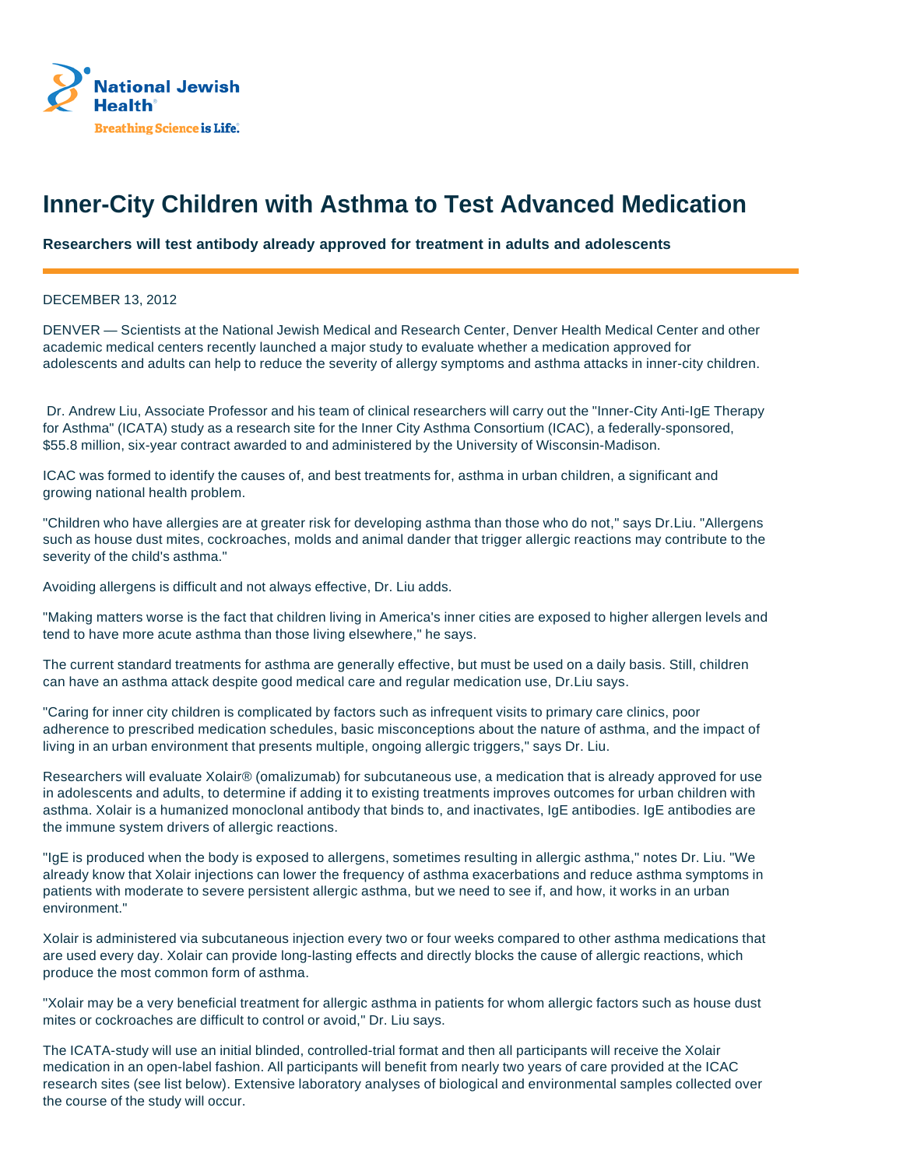

## **Inner-City Children with Asthma to Test Advanced Medication**

**Researchers will test antibody already approved for treatment in adults and adolescents**

DECEMBER 13, 2012

DENVER — Scientists at the National Jewish Medical and Research Center, Denver Health Medical Center and other academic medical centers recently launched a major study to evaluate whether a medication approved for adolescents and adults can help to reduce the severity of allergy symptoms and asthma attacks in inner-city children.

 Dr. Andrew Liu, Associate Professor and his team of clinical researchers will carry out the "Inner-City Anti-IgE Therapy for Asthma" (ICATA) study as a research site for the Inner City Asthma Consortium (ICAC), a federally-sponsored, \$55.8 million, six-year contract awarded to and administered by the University of Wisconsin-Madison.

ICAC was formed to identify the causes of, and best treatments for, asthma in urban children, a significant and growing national health problem.

"Children who have allergies are at greater risk for developing asthma than those who do not," says Dr.Liu. "Allergens such as house dust mites, cockroaches, molds and animal dander that trigger allergic reactions may contribute to the severity of the child's asthma."

Avoiding allergens is difficult and not always effective, Dr. Liu adds.

"Making matters worse is the fact that children living in America's inner cities are exposed to higher allergen levels and tend to have more acute asthma than those living elsewhere," he says.

The current standard treatments for asthma are generally effective, but must be used on a daily basis. Still, children can have an asthma attack despite good medical care and regular medication use, Dr.Liu says.

"Caring for inner city children is complicated by factors such as infrequent visits to primary care clinics, poor adherence to prescribed medication schedules, basic misconceptions about the nature of asthma, and the impact of living in an urban environment that presents multiple, ongoing allergic triggers," says Dr. Liu.

Researchers will evaluate Xolair® (omalizumab) for subcutaneous use, a medication that is already approved for use in adolescents and adults, to determine if adding it to existing treatments improves outcomes for urban children with asthma. Xolair is a humanized monoclonal antibody that binds to, and inactivates, IgE antibodies. IgE antibodies are the immune system drivers of allergic reactions.

"IgE is produced when the body is exposed to allergens, sometimes resulting in allergic asthma," notes Dr. Liu. "We already know that Xolair injections can lower the frequency of asthma exacerbations and reduce asthma symptoms in patients with moderate to severe persistent allergic asthma, but we need to see if, and how, it works in an urban environment."

Xolair is administered via subcutaneous injection every two or four weeks compared to other asthma medications that are used every day. Xolair can provide long-lasting effects and directly blocks the cause of allergic reactions, which produce the most common form of asthma.

"Xolair may be a very beneficial treatment for allergic asthma in patients for whom allergic factors such as house dust mites or cockroaches are difficult to control or avoid," Dr. Liu says.

The ICATA-study will use an initial blinded, controlled-trial format and then all participants will receive the Xolair medication in an open-label fashion. All participants will benefit from nearly two years of care provided at the ICAC research sites (see list below). Extensive laboratory analyses of biological and environmental samples collected over the course of the study will occur.